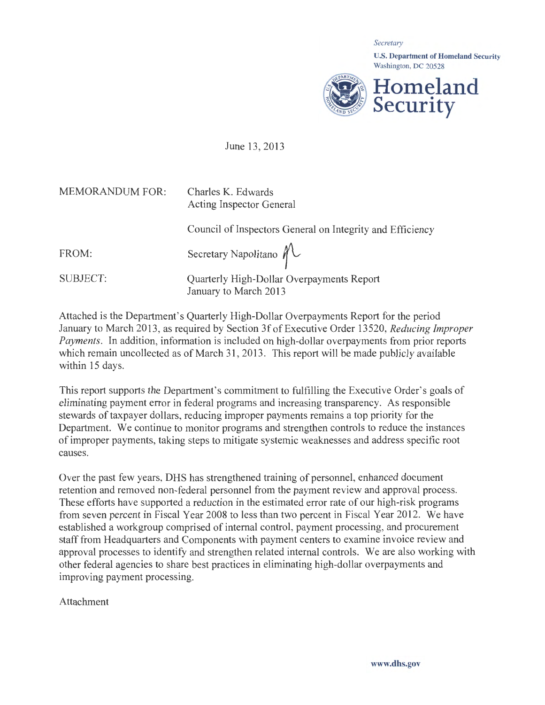

June 13, 2013

| <b>MEMORANDUM FOR:</b> | Charles K. Edwards<br><b>Acting Inspector General</b>              |
|------------------------|--------------------------------------------------------------------|
|                        | Council of Inspectors General on Integrity and Efficiency          |
| FROM:                  | Secretary Napolitano $\mathcal{M}$                                 |
| <b>SUBJECT:</b>        | Quarterly High-Dollar Overpayments Report<br>January to March 2013 |
|                        |                                                                    |

Attached is the Department's Quarterly High-Dollar Overpayments Report for the period January to March 2013, as required by Section 3f of Executive Order 13520, *Reducing Improper Payments.* In addition, information is included on high-dollar overpayments from prior reports which remain uncollected as of March 31, 2013. This report will be made publicly available within 15 days.

This report supports the Department's commitment to fulfilling the Executive Order's goals of eliminating payment error in federal programs and increasing transparency. As responsible stewards of taxpayer dollars, reducing improper payments remains a top priority for the Department. We continue to monitor programs and strengthen controls to reduce the instances of improper payments, taking steps to mitigate systemic weaknesses and address specific root causes.

Over the past few years, DHS has strengthened training of personnel, enhanced document retention and removed non-federal personnel from the payment review and approval process. These efforts have supported a reduction in the estimated error rate of our high-risk programs from seven percent in Fiscal Year 2008 to less than two percent in Fiscal Year 2012. We have established a workgroup comprised of internal control, payment processing, and procurement staff from Headquarters and Components with payment centers to examine invoice review and approval processes to identify and strengthen related internal controls. We are also working with other federal agencies to share best practices in eliminating high-dollar overpayments and improving payment processing.

Attachment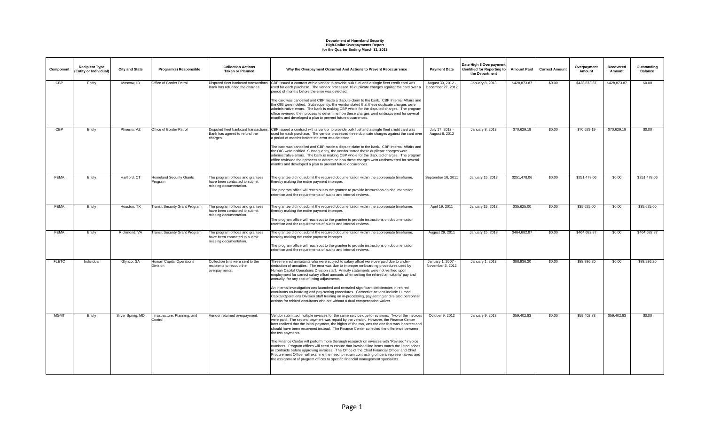| Component    | <b>Recipient Type</b><br>(Entity or Individual) | <b>City and State</b> | Program(s) Responsible                             | <b>Collection Actions</b><br><b>Taken or Planned</b>                                        | Why the Overpayment Occurred And Actions to Prevent Reoccurrence                                                                                                                                                                                                                                                                                                                                                                                                                                                                                                                                                                                                                                                                                                                                          | <b>Payment Date</b>                    | Date High \$ Overpayment<br>Identified for Reporting to<br>the Department | <b>Amount Paid</b> | <b>Correct Amount</b> | Overpayment<br>Amount | Recovered<br>Amount | Outstanding<br><b>Balance</b> |
|--------------|-------------------------------------------------|-----------------------|----------------------------------------------------|---------------------------------------------------------------------------------------------|-----------------------------------------------------------------------------------------------------------------------------------------------------------------------------------------------------------------------------------------------------------------------------------------------------------------------------------------------------------------------------------------------------------------------------------------------------------------------------------------------------------------------------------------------------------------------------------------------------------------------------------------------------------------------------------------------------------------------------------------------------------------------------------------------------------|----------------------------------------|---------------------------------------------------------------------------|--------------------|-----------------------|-----------------------|---------------------|-------------------------------|
| <b>CBP</b>   | Entity                                          | Moscow. ID            | Office of Border Patrol                            | Bank has refunded the charges.                                                              | Disputed fleet bankcard transactions. CBP issued a contract with a vendor to provide bulk fuel and a single fleet credit card was<br>used for each purchase. The vendor processed 18 duplicate charges against the card over a<br>period of months before the error was detected.                                                                                                                                                                                                                                                                                                                                                                                                                                                                                                                         | August 30, 2012 -<br>December 27, 2012 | January 8, 2013                                                           | \$428,873.87       | \$0.00                | \$428,873.87          | \$428,873.87        | \$0.00                        |
|              |                                                 |                       |                                                    |                                                                                             | The card was cancelled and CBP made a dispute claim to the bank. CBP Internal Affairs and<br>the OIG were notified. Subsequently, the vendor stated that these duplicate charges were<br>administrative errors. The bank is making CBP whole for the disputed charges. The program<br>office reviewed their process to determine how these charges went undiscovered for several<br>months and developed a plan to prevent future occurrences.                                                                                                                                                                                                                                                                                                                                                            |                                        |                                                                           |                    |                       |                       |                     |                               |
| <b>CBP</b>   | Entity                                          | Phoenix, AZ           | Office of Border Patrol                            | Bank has agreed to refund the<br>charges.                                                   | Disputed fleet bankcard transactions. CBP issued a contract with a vendor to provide bulk fuel and a single fleet credit card was<br>used for each purchase. The vendor processed three duplicate charges against the card over<br>a period of months before the error was detected.                                                                                                                                                                                                                                                                                                                                                                                                                                                                                                                      | July 17, 2012 -<br>August 8, 2012      | January 8, 2013                                                           | \$70,629.19        | \$0.00                | \$70,629.19           | \$70,629.19         | \$0.00                        |
|              |                                                 |                       |                                                    |                                                                                             | The card was cancelled and CBP made a dispute claim to the bank. CBP Internal Affairs and<br>the OIG were notified. Subsequently, the vendor stated these duplicate charges were<br>administrative errors. The bank is making CBP whole for the disputed charges. The program<br>office reviewed their process to determine how these charges went undiscovered for several<br>months and developed a plan to prevent future occurrences.                                                                                                                                                                                                                                                                                                                                                                 |                                        |                                                                           |                    |                       |                       |                     |                               |
| <b>FEMA</b>  | Entity                                          | Hartford, CT          | <b>Homeland Security Grants</b><br>Program         | The program offices and grantees<br>have been contacted to submit<br>missing documentation. | The grantee did not submit the required documentation within the appropriate timeframe,<br>thereby making the entire payment improper.<br>The program office will reach out to the grantee to provide instructions on documentation<br>retention and the requirements of audits and internal reviews.                                                                                                                                                                                                                                                                                                                                                                                                                                                                                                     | September 16, 2011                     | January 15, 2013                                                          | \$251,478.06       | \$0.00                | \$251,478.06          | \$0.00              | \$251,478.06                  |
| <b>FEMA</b>  | Entity                                          | Houston, TX           | <b>Transit Security Grant Program</b>              | The program offices and grantees<br>have been contacted to submit<br>missing documentation. | The grantee did not submit the required documentation within the appropriate timeframe,<br>thereby making the entire payment improper.<br>The program office will reach out to the grantee to provide instructions on documentation<br>retention and the requirements of audits and internal reviews.                                                                                                                                                                                                                                                                                                                                                                                                                                                                                                     | April 19, 2011                         | January 15, 2013                                                          | \$35,625.00        | \$0.00                | \$35,625.00           | \$0.00              | \$35,625.00                   |
| <b>FEMA</b>  | Entity                                          | Richmond, VA          | <b>Transit Security Grant Program</b>              | The program offices and grantees<br>have been contacted to submit<br>missing documentation. | The grantee did not submit the required documentation within the appropriate timeframe,<br>thereby making the entire payment improper.<br>The program office will reach out to the grantee to provide instructions on documentation<br>retention and the requirements of audits and internal reviews.                                                                                                                                                                                                                                                                                                                                                                                                                                                                                                     | August 29, 2011                        | January 15, 2013                                                          | \$464,682.87       | \$0.00                | \$464,682.87          | \$0.00              | \$464,682.87                  |
| <b>FLETC</b> | Individual                                      | Glynco, GA            | <b>Human Capital Operations</b><br><b>Division</b> | Collection bills were sent to the<br>recipients to recoup the<br>overpayments.              | Three rehired annuitants who were subject to salary offset were overpaid due to under-<br>deduction of annuities. The error was due to improper on-boarding procedures used by<br>Human Capital Operations Division staff. Annuity statements were not verified upon<br>employment for correct salary offset amounts when setting the rehired annuitants' pay and<br>annually, for any cost of living adjustments.<br>An internal investigation was launched and revealed significant deficiencies in rehired<br>annuitants on-boarding and pay-setting procedures. Corrective actions include Human<br>Capital Operations Division staff training on in-processing, pay-setting and related personnel                                                                                                    | January 1, 2007 -<br>November 3, 2012  | January 1, 2013                                                           | \$88,936.20        | \$0.00                | \$88,936.20           | \$0.00              | \$88,936,20                   |
|              |                                                 |                       |                                                    |                                                                                             | actions for rehired annuitants who are without a dual compensation waiver.                                                                                                                                                                                                                                                                                                                                                                                                                                                                                                                                                                                                                                                                                                                                |                                        |                                                                           |                    |                       |                       |                     |                               |
| <b>MGMT</b>  | Entity                                          | Silver Spring, MD     | Infrastructure, Planning, and<br>Control           | Vendor returned overpayment.                                                                | Vendor submitted multiple invoices for the same service due to revisions. Two of the invoices<br>were paid. The second payment was repaid by the vendor. However, the Finance Center<br>later realized that the initial payment, the higher of the two, was the one that was incorrect and<br>should have been recovered instead. The Finance Center collected the difference between<br>the two payments.<br>The Finance Center will perform more thorough research on invoices with "Revised" invoice<br>numbers. Program offices will need to ensure that invoiced line items match the listed prices<br>in contracts before approving invoices. The Office of the Chief Financial Officer and Chief<br>Procurement Officer will examine the need to retrain contracting officer's representatives and | October 9, 2012                        | January 9, 2013                                                           | \$59,402.83        | \$0.00                | \$59,402.83           | \$59,402.83         | \$0.00                        |
|              |                                                 |                       |                                                    |                                                                                             | the assignment of program offices to specific financial management specialists.                                                                                                                                                                                                                                                                                                                                                                                                                                                                                                                                                                                                                                                                                                                           |                                        |                                                                           |                    |                       |                       |                     |                               |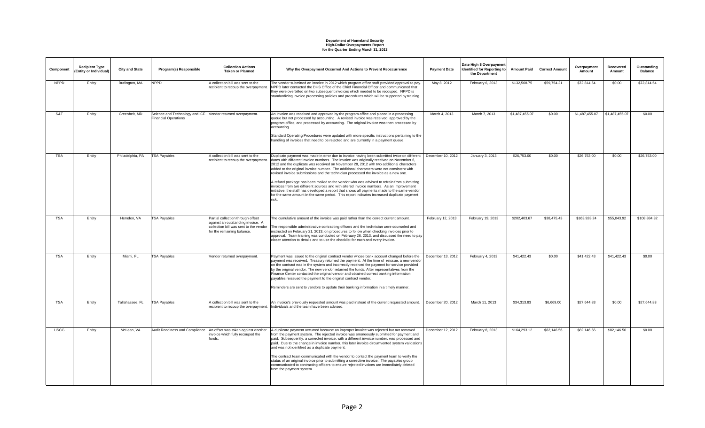| Component   | <b>Recipient Type</b><br>(Entity or Individual) | <b>City and State</b> | Program(s) Responsible                                                                     | <b>Collection Actions</b><br><b>Taken or Planned</b>                                                                                           | Why the Overpayment Occurred And Actions to Prevent Reoccurrence                                                                                                                                                                                                                                                                                                                                                                                                                                                                                                                                                                                                                                                                                                                                                                                                   | <b>Payment Date</b> | Date High \$ Overpayment<br>Identified for Reporting to<br>the Department | <b>Amount Paid</b> | <b>Correct Amount</b> | Overpayment<br>Amount | Recovered<br>Amount | Outstanding<br><b>Balance</b> |
|-------------|-------------------------------------------------|-----------------------|--------------------------------------------------------------------------------------------|------------------------------------------------------------------------------------------------------------------------------------------------|--------------------------------------------------------------------------------------------------------------------------------------------------------------------------------------------------------------------------------------------------------------------------------------------------------------------------------------------------------------------------------------------------------------------------------------------------------------------------------------------------------------------------------------------------------------------------------------------------------------------------------------------------------------------------------------------------------------------------------------------------------------------------------------------------------------------------------------------------------------------|---------------------|---------------------------------------------------------------------------|--------------------|-----------------------|-----------------------|---------------------|-------------------------------|
| <b>NPPD</b> | Entity                                          | Burlington, MA        | <b>NPPD</b>                                                                                | A collection bill was sent to the<br>recipient to recoup the overpayment.                                                                      | The vendor submitted an invoice in 2012 which program office staff provided approval to pay.<br>NPPD later contacted the DHS Office of the Chief Financial Officer and communicated that<br>they were overbilled on two subsequent invoices which needed to be recouped. NPPD is<br>standardizing invoice processing policies and procedures which will be supported by training.                                                                                                                                                                                                                                                                                                                                                                                                                                                                                  | May 8, 2012         | February 6, 2013                                                          | \$132,568.75       | \$59,754.21           | \$72,814.54           | \$0.00              | \$72,814.54                   |
| S&T         | Entity                                          | Greenbelt, MD         | Science and Technology and ICE Vendor returned overpayment.<br><b>Financial Operations</b> |                                                                                                                                                | An invoice was received and approved by the program office and placed in a processing<br>queue but not processed by accounting. A revised invoice was received, approved by the<br>program office, and processed by accounting. The original invoice was then processed by<br>accounting.<br>Standard Operating Procedures were updated with more specific instructions pertaining to the<br>handling of invoices that need to be rejected and are currently in a payment queue.                                                                                                                                                                                                                                                                                                                                                                                   | March 4, 2013       | March 7, 2013                                                             | \$1,487,455.07     | \$0.00                | \$1,487,455.07        | \$1,487,455.07      | \$0.00                        |
| <b>TSA</b>  | Entity                                          | Philadelphia, PA      | <b>TSA Payables</b>                                                                        | A collection bill was sent to the<br>recipient to recoup the overpayment.                                                                      | Duplicate payment was made in error due to invoice having been submitted twice on different<br>dates with different invoice numbers. The invoice was originally received on November 6,<br>2012 and the duplicate was received on November 28, 2012 with two additional characters<br>added to the original invoice number. The additional characters were not consistent with<br>revised invoice submissions and the technician processed the invoice as a new one.<br>A refund package has been mailed to the vendor who was advised to refrain from submitting<br>invoices from two different sources and with altered invoice numbers. As an improvement<br>initiative, the staff has developed a report that shows all payments made to the same vendor<br>for the same amount in the same period. This report indicates increased duplicate payment<br>risk. | December 10, 2012   | January 3, 2013                                                           | \$26,753.00        | \$0.00                | \$26,753,00           | \$0.00              | \$26,753.00                   |
| <b>TSA</b>  | Entity                                          | Herndon, VA           | <b>TSA Payables</b>                                                                        | Partial collection through offset<br>against an outstanding invoice. A<br>collection bill was sent to the vendor<br>for the remaining balance. | The cumulative amount of the invoice was paid rather than the correct current amount.<br>The responsible administrative contracting officers and the technician were counseled and<br>instructed on February 21, 2013, on procedures to follow when checking invoices prior to<br>approval. Team training was conducted on February 26, 2013, and discussed the need to pay<br>closer attention to details and to use the checklist for each and every invoice.                                                                                                                                                                                                                                                                                                                                                                                                    | February 12, 2013   | February 19, 2013                                                         | \$202,403.67       | \$38,475.43           | \$163,928.24          | \$55,043.92         | \$108,884,32                  |
| <b>TSA</b>  | Entity                                          | Miami, FL             | <b>TSA Payables</b>                                                                        | Vendor returned overpayment.                                                                                                                   | Payment was issued to the original contract vendor whose bank account changed before the<br>payment was received. Treasury returned the payment. At the time of reissue, a new vendor<br>on the contract was in the system and incorrectly received the payment for service provided<br>by the original vendor. The new vendor returned the funds. After representatives from the<br>Finance Center contacted the original vendor and obtained correct banking information,<br>payables reissued the payment to the original contract vendor.<br>Reminders are sent to vendors to update their banking information in a timely manner.                                                                                                                                                                                                                             | December 13, 2012   | February 4, 2013                                                          | \$41,422.43        | \$0.00                | \$41,422.43           | \$41,422.43         | \$0.00                        |
| <b>TSA</b>  | Entity                                          | Tallahassee, FL       | <b>TSA Payables</b>                                                                        | A collection bill was sent to the<br>recipient to recoup the overpayment.                                                                      | An invoice's previously requested amount was paid instead of the current requested amount.<br>Individuals and the team have been advised.                                                                                                                                                                                                                                                                                                                                                                                                                                                                                                                                                                                                                                                                                                                          | December 20, 2012   | March 11, 2013                                                            | \$34,313,83        | \$6,669.00            | \$27,644.83           | \$0.00              | \$27,644.83                   |
| <b>USCG</b> | Entity                                          | McLean, VA            |                                                                                            | Audit Readiness and Compliance   An offset was taken against another<br>invoice which fully recouped the<br>funds.                             | A duplicate payment occurred because an improper invoice was rejected but not removed<br>from the payment system. The rejected invoice was erroneously submitted for payment and<br>paid. Subsequently, a corrected invoice, with a different invoice number, was processed and<br>paid. Due to the change in invoice number, this later invoice circumvented system validations<br>and was not identified as a duplicate payment.<br>The contract team communicated with the vendor to contact the payment team to verify the<br>status of an original invoice prior to submitting a corrective invoice. The payables group<br>communicated to contracting officers to ensure rejected invoices are immediately deleted<br>from the payment system.                                                                                                               | December 12, 2012   | February 8, 2013                                                          | \$164,293.12       | \$82,146.56           | \$82,146.56           | \$82,146.56         | \$0.00                        |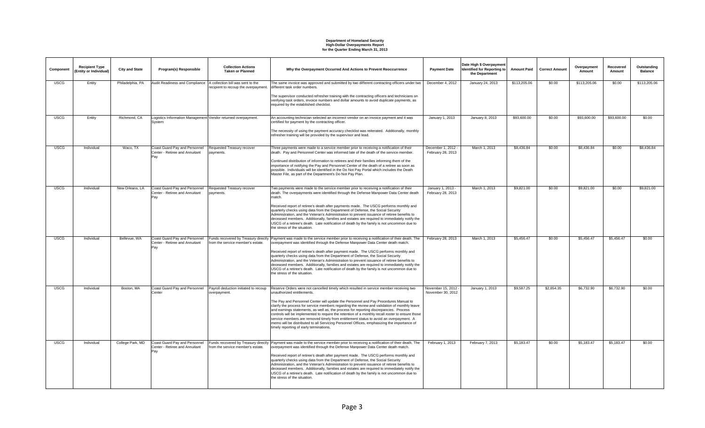| Component   | <b>Recipient Type</b><br>(Entity or Individual) | <b>City and State</b> | Program(s) Responsible                                                  | <b>Collection Actions</b><br><b>Taken or Planned</b>  | Why the Overpayment Occurred And Actions to Prevent Reoccurrence                                                                                                                                                                                                                                                                                                                                                                                                                                                                                                                                                                                                                                                                            | <b>Payment Date</b>                      | Date High \$ Overpayment<br><b>Identified for Reporting to</b><br>the Department | <b>Amount Paid</b> | <b>Correct Amount</b> | Overpayment<br>Amount | Recovered<br>Amount | Outstanding<br><b>Balance</b> |
|-------------|-------------------------------------------------|-----------------------|-------------------------------------------------------------------------|-------------------------------------------------------|---------------------------------------------------------------------------------------------------------------------------------------------------------------------------------------------------------------------------------------------------------------------------------------------------------------------------------------------------------------------------------------------------------------------------------------------------------------------------------------------------------------------------------------------------------------------------------------------------------------------------------------------------------------------------------------------------------------------------------------------|------------------------------------------|----------------------------------------------------------------------------------|--------------------|-----------------------|-----------------------|---------------------|-------------------------------|
| <b>USCG</b> | Entity                                          | Philadelphia, PA      | Audit Readiness and Compliance   A collection bill was sent to the      | recipient to recoup the overpayment.                  | The same invoice was approved and submitted by two different contracting officers under two<br>different task order numbers.<br>The supervisor conducted refresher training with the contracting officers and technicians on<br>verifying task orders, invoice numbers and dollar amounts to avoid duplicate payments, as<br>required by the established checklist.                                                                                                                                                                                                                                                                                                                                                                         | December 4, 2012                         | January 24, 2013                                                                 | \$113,205.06       | \$0.00                | \$113,205.06          | \$0.00              | \$113,205.06                  |
| <b>USCG</b> | Entity                                          | Richmond, CA          | Logistics Information Management Vendor returned overpayment.<br>System |                                                       | An accounting technician selected an incorrect vendor on an invoice payment and it was<br>certified for payment by the contracting officer.<br>The necessity of using the payment accuracy checklist was reiterated. Additionally, monthly<br>refresher training will be provided by the supervisor and lead.                                                                                                                                                                                                                                                                                                                                                                                                                               | January 1, 2013                          | January 8, 2013                                                                  | \$93,600.00        | \$0.00                | \$93,600.00           | \$93,600.00         | \$0.00                        |
| <b>USCG</b> | Individual                                      | Waco, TX              | Coast Guard Pay and Personnel<br>Center - Retiree and Annuitant<br>Pay  | Requested Treasury recover<br>payments.               | Three payments were made to a service member prior to receiving a notification of their<br>death. Pay and Personnel Center was informed late of the death of the service member.<br>Continued distribution of information to retirees and their families informing them of the<br>importance of notifying the Pay and Personnel Center of the death of a retiree as soon as<br>possible. Individuals will be identified in the Do Not Pay Portal which includes the Death<br>Master File, as part of the Department's Do Not Pay Plan.                                                                                                                                                                                                      | December 1, 2012 -<br>February 28, 2013  | March 1, 2013                                                                    | \$8,436.84         | \$0.00                | \$8,436.84            | \$0.00              | \$8,436.84                    |
| <b>USCG</b> | Individual                                      | New Orleans, LA       | Coast Guard Pay and Personnel<br>Center - Retiree and Annuitant<br>Pay  | Requested Treasury recover<br>navments.               | Two payments were made to the service member prior to receiving a notification of their<br>death. The overpayments were identified through the Defense Manpower Data Center death<br>match.<br>Received report of retiree's death after payments made. The USCG performs monthly and<br>quarterly checks using data from the Department of Defense, the Social Security<br>Administration, and the Veteran's Administration to prevent issuance of retiree benefits to<br>deceased members. Additionally, families and estates are required to immediately notify the<br>USCG of a retiree's death. Late notification of death by the family is not uncommon due to<br>the stress of the situation.                                         | January 1, 2013 -<br>February 28, 2013   | March 1, 2013                                                                    | \$9,821.00         | \$0.00                | \$9,821.00            | \$0.00              | \$9,821.00                    |
| <b>USCG</b> | Individual                                      | Bellevue, WA          | Coast Guard Pay and Personnel<br>Center - Retiree and Annuitant<br>Pay  | from the service member's estate.                     | Funds recovered by Treasury directly Payment was made to the service member prior to receiving a notification of their death. The<br>overpayment was identified through the Defense Manpower Data Center death match.<br>Received report of retiree's death after payment made. The USCG performs monthly and<br>quarterly checks using data from the Department of Defense, the Social Security<br>Administration, and the Veteran's Administration to prevent issuance of retiree benefits to<br>deceased members. Additionally, families and estates are required to immediately notify the<br>USCG of a retiree's death. Late notification of death by the family is not uncommon due to<br>the stress of the situation.                | February 28, 2013                        | March 1, 2013                                                                    | \$5,456.47         | \$0.00                | \$5,456.47            | \$5,456.47          | \$0.00                        |
| <b>USCG</b> | Individual                                      | Boston, MA            | Coast Guard Pay and Personnel<br>Center                                 | Payroll deduction initiated to recoup<br>overpayment. | Reserve Orders were not cancelled timely which resulted in service member receiving two<br>unauthorized entitlements.<br>The Pay and Personnel Center will update the Personnel and Pay Procedures Manual to<br>clarify the process for service members regarding the review and validation of monthly leave<br>and earnings statements, as well as, the process for reporting discrepancies. Process<br>controls will be implemented to require the retention of a monthly recall roster to ensure those<br>service members are removed timely from entitlement status to avoid an overpayment. A<br>memo will be distributed to all Servicing Personnel Offices, emphasizing the importance of<br>timely reporting of early terminations. | November 15, 2012 -<br>November 30, 2012 | January 1, 2013                                                                  | \$9,587.25         | \$2,854.35            | \$6,732.90            | \$6,732.90          | \$0.00                        |
| <b>USCG</b> | Individual                                      | College Park, MD      | Coast Guard Pay and Personnel<br>Center - Retiree and Annuitant<br>Pay  | from the service member's estate.                     | Funds recovered by Treasury directly Payment was made to the service member prior to receiving a notification of their death. The<br>overpayment was identified through the Defense Manpower Data Center death match.<br>Received report of retiree's death after payment made. The USCG performs monthly and<br>quarterly checks using data from the Department of Defense, the Social Security<br>Administration, and the Veteran's Administration to prevent issuance of retiree benefits to<br>deceased members. Additionally, families and estates are required to immediately notify the<br>USCG of a retiree's death. Late notification of death by the family is not uncommon due to<br>the stress of the situation.                | February 1, 2013                         | February 7, 2013                                                                 | \$5,183,47         | \$0.00                | \$5,183,47            | \$5,183,47          | \$0.00                        |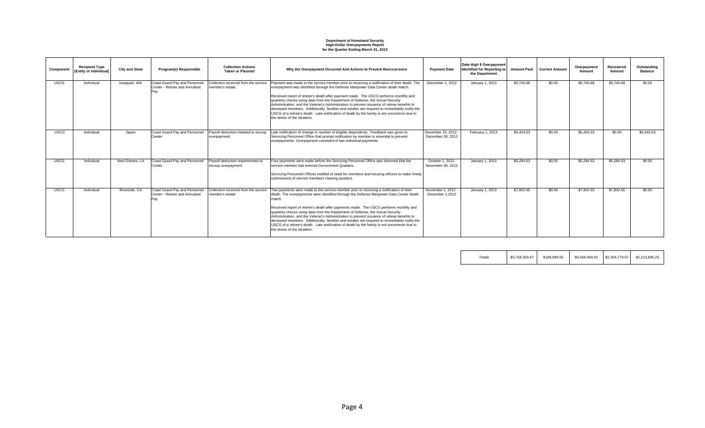| Component   | <b>Recipient Type</b><br>(Entity or Individual) | <b>City and State</b> | Program(s) Responsible                                                 | <b>Collection Actions</b><br><b>Taken or Planned</b>     | Why the Overpayment Occurred And Actions to Prevent Reoccurrence                                                                                                                                                                                                                                                                                                                                                                                                                                                                                                                                                                                                                                    | <b>Payment Date</b>                    | Date High \$ Overpayment<br><b>Identified for Reporting to</b><br>the Department | <b>Amount Paid</b> | <b>Correct Amount</b> | Overpayment<br>Amount | Recovered<br>Amount | Outstanding<br><b>Balance</b> |
|-------------|-------------------------------------------------|-----------------------|------------------------------------------------------------------------|----------------------------------------------------------|-----------------------------------------------------------------------------------------------------------------------------------------------------------------------------------------------------------------------------------------------------------------------------------------------------------------------------------------------------------------------------------------------------------------------------------------------------------------------------------------------------------------------------------------------------------------------------------------------------------------------------------------------------------------------------------------------------|----------------------------------------|----------------------------------------------------------------------------------|--------------------|-----------------------|-----------------------|---------------------|-------------------------------|
| <b>USCG</b> | Individual                                      | Issaguah, WA          | Coast Guard Pay and Personnel<br>Center - Retiree and Annuitant<br>Pav | Collection received from the service<br>member's estate. | Payment was made to the service member prior to receiving a notification of their death. The<br>overpayment was identified through the Defense Manpower Data Center death match.<br>Received report of retiree's death after payment made. The USCG performs monthly and<br>quarterly checks using data from the Department of Defense, the Social Security<br>Administration, and the Veteran's Administration to prevent issuance of retiree benefits to<br>deceased members. Additionally, families and estates are required to immediately notify the<br>USCG of a retiree's death. Late notification of death by the family is not uncommon due to<br>the stress of the situation.             | December 1, 2012                       | January 1, 2013                                                                  | \$5,740.68         | \$0.00                | \$5,740.68            | \$5,740.68          | \$0.00                        |
| <b>USCG</b> | Individual                                      | Japan                 | Coast Guard Pay and Personnel<br>Center                                | Payroll deduction initiated to recoup<br>overpayment     | Late notification of change in number of eligible dependents. Feedback was given to<br>Servicing Personnel Office that prompt notification by member is essential to prevent<br>overpayments. Overpayment consisted of two individual payments.                                                                                                                                                                                                                                                                                                                                                                                                                                                     | December 15, 2012<br>December 30, 2012 | February 1, 2013                                                                 | \$5,403.53         | \$0.00                | \$5,403.53            | \$0.00              | \$5,403.53                    |
| <b>USCG</b> | Individual                                      | New Orleans, LA       | Coast Guard Pay and Personnel<br>Center                                | Pavroll deduction implemented to<br>recoup overpayment.  | Four payments were made before the Servicing Personnel Office was informed that the<br>service member had entered Government Quarters.<br>Servicing Personnel Offices notified of need for members and housing officers to make timely<br>submissions of service members clearing quarters.                                                                                                                                                                                                                                                                                                                                                                                                         | October 1, 2012 -<br>November 30, 2012 | January 1, 2013                                                                  | \$5,284.63         | \$0.00                | \$5,284.63            | \$5,284.63          | \$0.00                        |
| <b>USCG</b> | Individual                                      | Riverside, CA         | Coast Guard Pay and Personnel<br>Center - Retiree and Annuitant<br>Pav | Collection received from the service<br>member's estate  | Two payments were made to the service member prior to receiving a notification of their<br>death. The overpayments were identified through the Defense Manpower Data Center death<br>match.<br>Received report of retiree's death after payments made. The USCG performs monthly and<br>quarterly checks using data from the Department of Defense, the Social Security<br>Administration, and the Veteran's Administration to prevent issuance of retiree benefits to<br>deceased members. Additionally, families and estates are required to immediately notify the<br>USCG of a retiree's death. Late notification of death by the family is not uncommon due to<br>the stress of the situation. | November 1, 2012 -<br>December 1,2012  | January 1, 2013                                                                  | \$7,802.65         | \$0.00                | \$7,802.65            | \$7,802.65          | \$0.00                        |

| $\tau$ otals | \$3.758.359.47 | \$189,899.55 | \$3,568,459.92 | \$2,354,774.67 | \$1.213.685.25 |
|--------------|----------------|--------------|----------------|----------------|----------------|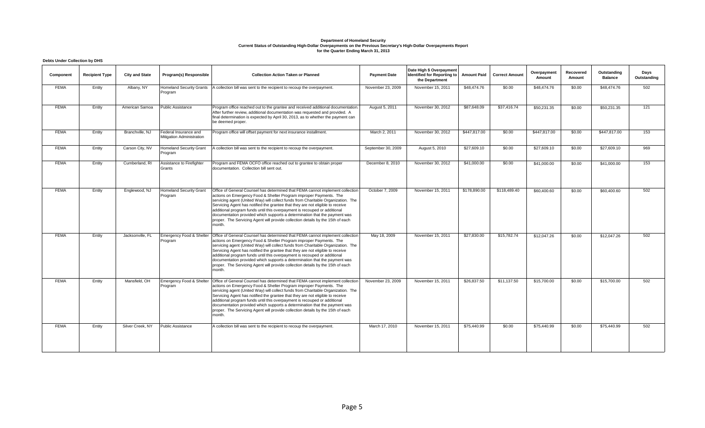#### **Debts Under Collection by DHS**

| Component   | <b>Recipient Type</b> | <b>City and State</b> | Program(s) Responsible                             | <b>Collection Action Taken or Planned</b>                                                                                                                                                                                                                                                                                                                                                                                                                                                                                                                                           | <b>Payment Date</b> | Date High \$ Overpayment<br><b>Identified for Reporting to</b><br>the Department | <b>Amount Paid</b> | <b>Correct Amount</b> | Overpayment<br>Amount | Recovered<br>Amount | Outstanding<br><b>Balance</b> | Days<br>Outstanding |
|-------------|-----------------------|-----------------------|----------------------------------------------------|-------------------------------------------------------------------------------------------------------------------------------------------------------------------------------------------------------------------------------------------------------------------------------------------------------------------------------------------------------------------------------------------------------------------------------------------------------------------------------------------------------------------------------------------------------------------------------------|---------------------|----------------------------------------------------------------------------------|--------------------|-----------------------|-----------------------|---------------------|-------------------------------|---------------------|
| <b>FEMA</b> | Entity                | Albany, NY            | <b>Homeland Security Grants</b><br>Program         | A collection bill was sent to the recipient to recoup the overpayment.                                                                                                                                                                                                                                                                                                                                                                                                                                                                                                              | November 23, 2009   | November 15, 2011                                                                | \$48,474.76        | \$0.00                | \$48,474.76           | \$0.00              | \$48,474.76                   | 502                 |
| <b>FEMA</b> | Entity                | American Samoa        | <b>Public Assistance</b>                           | Program office reached out to the grantee and received additional documentation.<br>After further review, additional documentation was requested and provided. A<br>final determination is expected by April 30, 2013, as to whether the payment can<br>be deemed proper.                                                                                                                                                                                                                                                                                                           | August 5, 2011      | November 30, 2012                                                                | \$87,648.09        | \$37,416.74           | \$50,231.35           | \$0.00              | \$50,231.35                   | 121                 |
| <b>FEMA</b> | Entity                | Branchville, NJ       | Federal Insurance and<br>Mitigation Administration | Program office will offset payment for next insurance installment.                                                                                                                                                                                                                                                                                                                                                                                                                                                                                                                  | March 2, 2011       | November 30, 2012                                                                | \$447,817.00       | \$0.00                | \$447,817.00          | \$0.00              | \$447,817.00                  | 153                 |
| <b>FEMA</b> | Entity                | Carson City, NV       | <b>Homeland Security Grant</b><br>Program          | A collection bill was sent to the recipient to recoup the overpayment.                                                                                                                                                                                                                                                                                                                                                                                                                                                                                                              | September 30, 2009  | August 5, 2010                                                                   | \$27,609.10        | \$0.00                | \$27,609.10           | \$0.00              | \$27,609.10                   | 969                 |
| <b>FEMA</b> | Entity                | Cumberland, RI        | Assistance to Firefighter<br>Grants                | Program and FEMA OCFO office reached out to grantee to obtain proper<br>documentation. Collection bill sent out.                                                                                                                                                                                                                                                                                                                                                                                                                                                                    | December 8, 2010    | November 30, 2012                                                                | \$41,000.00        | \$0.00                | \$41,000.00           | \$0.00              | \$41,000.00                   | 153                 |
| <b>FEMA</b> | Entity                | Englewood, NJ         | <b>Homeland Security Grant</b><br>Program          | Office of General Counsel has determined that FEMA cannot implement collection<br>actions on Emergency Food & Shelter Program improper Payments. The<br>servicing agent (United Way) will collect funds from Charitable Organization. The<br>Servicing Agent has notified the grantee that they are not eligible to receive<br>additional program funds until this overpayment is recouped or additional<br>documentation provided which supports a determination that the payment was<br>proper. The Servicing Agent will provide collection details by the 15th of each<br>month. | October 7, 2009     | November 15, 2011                                                                | \$178,890.00       | \$118,489.40          | \$60,400.60           | \$0.00              | \$60,400.60                   | 502                 |
| <b>FEMA</b> | Entity                | Jacksonville, FL      | Emergency Food & Shelter<br>Program                | Office of General Counsel has determined that FEMA cannot implement collection<br>actions on Emergency Food & Shelter Program improper Payments. The<br>servicing agent (United Way) will collect funds from Charitable Organization. The<br>Servicing Agent has notified the grantee that they are not eligible to receive<br>additional program funds until this overpayment is recouped or additional<br>documentation provided which supports a determination that the payment was<br>proper. The Servicing Agent will provide collection details by the 15th of each<br>month. | May 18, 2009        | November 15, 2011                                                                | \$27,830.00        | \$15,782.74           | \$12,047.26           | \$0.00              | \$12,047.26                   | 502                 |
| <b>FEMA</b> | Entity                | Mansfield, OH         | Emergency Food & Shelter<br>Program                | Office of General Counsel has determined that FEMA cannot implement collection<br>actions on Emergency Food & Shelter Program improper Payments. The<br>servicing agent (United Way) will collect funds from Charitable Organization. The<br>Servicing Agent has notified the grantee that they are not eligible to receive<br>additional program funds until this overpayment is recouped or additional<br>documentation provided which supports a determination that the payment was<br>proper. The Servicing Agent will provide collection details by the 15th of each<br>month. | November 23, 2009   | November 15, 2011                                                                | \$26,837.50        | \$11,137.50           | \$15,700.00           | \$0.00              | \$15,700.00                   | 502                 |
| <b>FEMA</b> | Entity                | Silver Creek, NY      | <b>Public Assistance</b>                           | A collection bill was sent to the recipient to recoup the overpayment.                                                                                                                                                                                                                                                                                                                                                                                                                                                                                                              | March 17, 2010      | November 15, 2011                                                                | \$75,440.99        | \$0.00                | \$75,440.99           | \$0.00              | \$75,440.99                   | 502                 |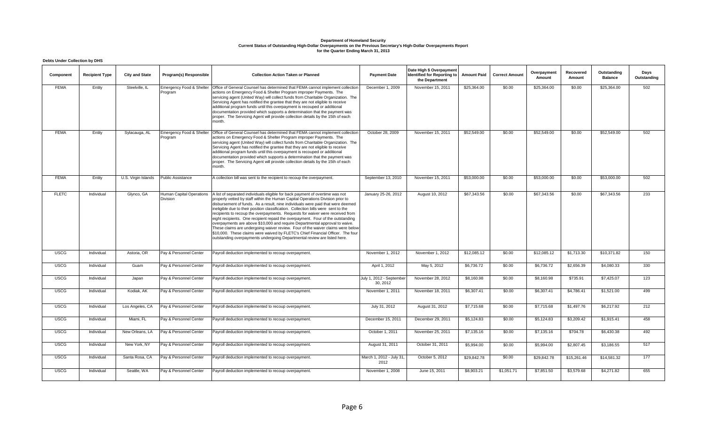#### **Debts Under Collection by DHS**

| Component    | <b>Recipient Type</b> | <b>City and State</b> | Program(s) Responsible                      | <b>Collection Action Taken or Planned</b>                                                                                                                                                                                                                                                                                                                                                                                                                                                                                                                                                                                                                                                                                                                                                                                                     | <b>Payment Date</b>                  | Date High \$ Overpayment<br>Identified for Reporting to<br>the Department | <b>Amount Paid</b> | <b>Correct Amount</b> | Overpayment<br>Amount | Recovered<br>Amount | Outstanding<br><b>Balance</b> | Days<br>Outstanding |
|--------------|-----------------------|-----------------------|---------------------------------------------|-----------------------------------------------------------------------------------------------------------------------------------------------------------------------------------------------------------------------------------------------------------------------------------------------------------------------------------------------------------------------------------------------------------------------------------------------------------------------------------------------------------------------------------------------------------------------------------------------------------------------------------------------------------------------------------------------------------------------------------------------------------------------------------------------------------------------------------------------|--------------------------------------|---------------------------------------------------------------------------|--------------------|-----------------------|-----------------------|---------------------|-------------------------------|---------------------|
| <b>FEMA</b>  | Entity                | Steelville, IL        | Emergency Food & Shelter<br>Program         | Office of General Counsel has determined that FEMA cannot implement collection<br>actions on Emergency Food & Shelter Program improper Payments. The<br>servicing agent (United Way) will collect funds from Charitable Organization. The<br>Servicing Agent has notified the grantee that they are not eligible to receive<br>additional program funds until this overpayment is recouped or additional<br>documentation provided which supports a determination that the payment was<br>proper. The Servicing Agent will provide collection details by the 15th of each<br>month.                                                                                                                                                                                                                                                           | December 1, 2009                     | November 15, 2011                                                         | \$25,364.00        | \$0.00                | \$25,364.00           | \$0.00              | \$25,364.00                   | 502                 |
| <b>FEMA</b>  | Entity                | Sylacauga, AL         | Emergency Food & Shelter<br>Program         | Office of General Counsel has determined that FEMA cannot implement collection<br>actions on Emergency Food & Shelter Program improper Payments. The<br>servicing agent (United Way) will collect funds from Charitable Organization. The<br>Servicing Agent has notified the grantee that they are not eligible to receive<br>additional program funds until this overpayment is recouped or additional<br>documentation provided which supports a determination that the payment was<br>proper. The Servicing Agent will provide collection details by the 15th of each<br>month.                                                                                                                                                                                                                                                           | October 28, 2009                     | November 15, 2011                                                         | \$52,549.00        | \$0.00                | \$52,549.00           | \$0.00              | \$52,549.00                   | 502                 |
| <b>FEMA</b>  | Entity                | U.S. Virgin Islands   | <b>Public Assistance</b>                    | A collection bill was sent to the recipient to recoup the overpayment.                                                                                                                                                                                                                                                                                                                                                                                                                                                                                                                                                                                                                                                                                                                                                                        | September 13, 2010                   | November 15, 2011                                                         | \$53,000.00        | \$0.00                | \$53,000.00           | \$0.00              | \$53,000.00                   | 502                 |
| <b>FLETC</b> | Individual            | Glynco, GA            | <b>Human Capital Operations</b><br>Division | A list of separated individuals eligible for back payment of overtime was not<br>properly vetted by staff within the Human Capital Operations Division prior to<br>disbursement of funds. As a result, nine individuals were paid that were deemed<br>ineligible due to their position classification. Collection bills were sent to the<br>recipients to recoup the overpayments. Requests for waiver were received from<br>eight recipients. One recipient repaid the overpayment. Four of the outstanding<br>overpayments are above \$10,000 and require Departmental approval to waive.<br>These claims are undergoing waiver review. Four of the waiver claims were below<br>\$10,000. These claims were waived by FLETC's Chief Financial Officer. The four<br>outstanding overpayments undergoing Departmental review are listed here. | January 25-26, 2012                  | August 10, 2012                                                           | \$67,343.56        | \$0.00                | \$67,343.56           | \$0.00              | \$67,343.56                   | 233                 |
| <b>USCG</b>  | Individual            | Astoria, OR           | Pay & Personnel Center                      | Payroll deduction implemented to recoup overpayment.                                                                                                                                                                                                                                                                                                                                                                                                                                                                                                                                                                                                                                                                                                                                                                                          | November 1, 2012                     | November 1, 2012                                                          | \$12,085.12        | \$0.00                | \$12,085.12           | \$1,713.30          | \$10,371.82                   | 150                 |
| <b>USCG</b>  | Individual            | Guam                  | Pay & Personnel Center                      | Payroll deduction implemented to recoup overpayment.                                                                                                                                                                                                                                                                                                                                                                                                                                                                                                                                                                                                                                                                                                                                                                                          | April 1, 2012                        | May 5, 2012                                                               | \$6,736.72         | \$0.00                | \$6,736.72            | \$2,656.39          | \$4,080.33                    | 330                 |
| <b>USCG</b>  | Individual            | Japan                 | Pay & Personnel Center                      | Payroll deduction implemented to recoup overpayment.                                                                                                                                                                                                                                                                                                                                                                                                                                                                                                                                                                                                                                                                                                                                                                                          | July 1, 2012 - September<br>30, 2012 | November 28, 2012                                                         | \$8,160.98         | \$0.00                | \$8,160.98            | \$735.91            | \$7,425.07                    | 123                 |
| <b>USCG</b>  | Individual            | Kodiak, AK            | Pay & Personnel Center                      | Payroll deduction implemented to recoup overpayment.                                                                                                                                                                                                                                                                                                                                                                                                                                                                                                                                                                                                                                                                                                                                                                                          | November 1, 2011                     | November 18, 2011                                                         | \$6,307.41         | \$0.00                | \$6,307.41            | \$4,786.41          | \$1,521.00                    | 499                 |
| <b>USCG</b>  | Individual            | Los Angeles, CA       | Pay & Personnel Center                      | Payroll deduction implemented to recoup overpayment.                                                                                                                                                                                                                                                                                                                                                                                                                                                                                                                                                                                                                                                                                                                                                                                          | July 31, 2012                        | August 31, 2012                                                           | \$7,715.68         | \$0.00                | \$7,715.68            | \$1,497.76          | \$6,217.92                    | 212                 |
| <b>USCG</b>  | Individual            | Miami, FL             | Pay & Personnel Center                      | Payroll deduction implemented to recoup overpayment.                                                                                                                                                                                                                                                                                                                                                                                                                                                                                                                                                                                                                                                                                                                                                                                          | December 15, 2011                    | December 29, 2011                                                         | \$5,124.83         | \$0.00                | \$5,124.83            | \$3,209.42          | \$1,915.41                    | 458                 |
| <b>USCG</b>  | Individual            | New Orleans, LA       | Pay & Personnel Center                      | Payroll deduction implemented to recoup overpayment.                                                                                                                                                                                                                                                                                                                                                                                                                                                                                                                                                                                                                                                                                                                                                                                          | October 1, 2011                      | November 25, 2011                                                         | \$7,135.16         | \$0.00                | \$7,135.16            | \$704.78            | \$6,430.38                    | 492                 |
| <b>USCG</b>  | Individual            | New York, NY          | Pay & Personnel Center                      | Payroll deduction implemented to recoup overpayment.                                                                                                                                                                                                                                                                                                                                                                                                                                                                                                                                                                                                                                                                                                                                                                                          | August 31, 2011                      | October 31, 2011                                                          | \$5,994.00         | \$0.00                | \$5,994.00            | \$2,807.45          | \$3,186.55                    | 517                 |
| <b>USCG</b>  | Individual            | Santa Rosa, CA        | Pay & Personnel Center                      | Payroll deduction implemented to recoup overpayment.                                                                                                                                                                                                                                                                                                                                                                                                                                                                                                                                                                                                                                                                                                                                                                                          | March 1, 2012 - July 31,<br>2012     | October 5, 2012                                                           | \$29,842.78        | \$0.00                | \$29,842.78           | \$15,261.46         | \$14,581.32                   | 177                 |
| <b>USCG</b>  | Individual            | Seattle, WA           | Pay & Personnel Center                      | Payroll deduction implemented to recoup overpayment.                                                                                                                                                                                                                                                                                                                                                                                                                                                                                                                                                                                                                                                                                                                                                                                          | November 1, 2008                     | June 15, 2011                                                             | \$8,903.21         | \$1,051.71            | \$7,851.50            | \$3,579.68          | \$4,271.82                    | 655                 |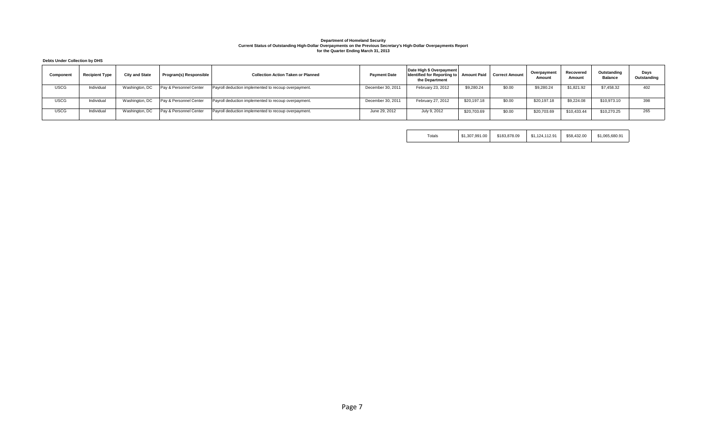#### **Debts Under Collection by DHS**

| Component   | <b>Recipient Type</b> | <b>City and State</b> | Program(s) Responsible | <b>Collection Action Taken or Planned</b>            | <b>Payment Date</b> | Date High \$ Overpayment<br>Identified for Reporting to Amount Paid<br>the Department |             | <b>Correct Amount</b> | Overpayment<br>Amount | Recovered<br>Amount | Outstanding<br><b>Balance</b> | Days<br>Outstanding |
|-------------|-----------------------|-----------------------|------------------------|------------------------------------------------------|---------------------|---------------------------------------------------------------------------------------|-------------|-----------------------|-----------------------|---------------------|-------------------------------|---------------------|
| <b>USCG</b> | Individual            | Washington, DC        | Pay & Personnel Center | Payroll deduction implemented to recoup overpayment. | December 30, 2011   | February 23, 2012                                                                     | \$9,280.24  | \$0.00                | \$9,280.24            | \$1,821.92          | \$7,458.32                    | 402                 |
| <b>USCG</b> | Individual            | Washington, DC        | Pay & Personnel Center | Payroll deduction implemented to recoup overpayment. | December 30, 2011   | February 27, 2012                                                                     | \$20,197.18 | \$0.00                | \$20,197.18           | \$9,224.08          | \$10,973.10                   | 398                 |
| USCG        | Individual            | Washington, DC        | Pay & Personnel Center | Payroll deduction implemented to recoup overpayment. | June 29, 2012       | July 9, 2012                                                                          | \$20,703.69 | \$0.00                | \$20,703.69           | \$10,433.44         | \$10,270.25                   | 265                 |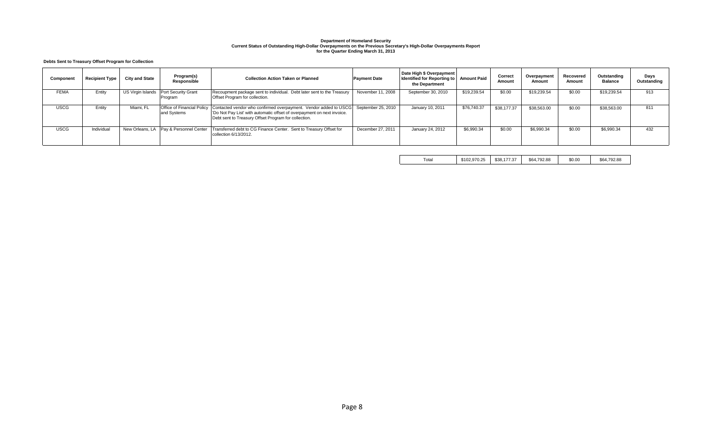#### **Debts Sent to Treasury Offset Program for Collection**

| Component   | <b>Recipient Type</b> | <b>City and State</b> | Program(s)<br>Responsible                 | <b>Collection Action Taken or Planned</b>                                                                                                                                                                              | <b>Payment Date</b> | Date High \$ Overpayment<br>Identified for Reporting to Amount Paid<br>the Department |             | Correct<br>Amount | Overpayment<br>Amount | Recovered<br>Amount | Outstanding<br><b>Balance</b> | Days<br>Outstanding |
|-------------|-----------------------|-----------------------|-------------------------------------------|------------------------------------------------------------------------------------------------------------------------------------------------------------------------------------------------------------------------|---------------------|---------------------------------------------------------------------------------------|-------------|-------------------|-----------------------|---------------------|-------------------------------|---------------------|
| <b>FEMA</b> | Entity                | US Virgin Islands     | Port Security Grant<br>Program            | Recoupment package sent to individual. Debt later sent to the Treasury<br>Offset Program for collection.                                                                                                               | November 11, 2008   | September 30, 2010                                                                    | \$19,239.54 | \$0.00            | \$19,239.54           | \$0.00              | \$19,239.54                   | 913                 |
| <b>USCG</b> | Entity                | Miami, FL             | Office of Financial Policy<br>and Systems | Contacted vendor who confirmed overpayment. Vendor added to USCG September 25, 2010<br>'Do Not Pay List' with automatic offset of overpayment on next invoice.<br>Debt sent to Treasury Offset Program for collection. |                     | January 10, 2011                                                                      | \$76,740.37 | \$38,177.37       | \$38,563.00           | \$0.00              | \$38,563.00                   | 811                 |
| <b>USCG</b> | Individual            | New Orleans, LA       | Pay & Personnel Center                    | Transferred debt to CG Finance Center. Sent to Treasury Offset for<br>collection 6/13/2012.                                                                                                                            | December 27, 2011   | January 24, 2012                                                                      | \$6,990.34  | \$0.00            | \$6,990.34            | \$0.00              | \$6,990.34                    | 432                 |

Total \$102,970.25 \$38,177.37 \$64,792.88 \$0.00 \$64,792.88